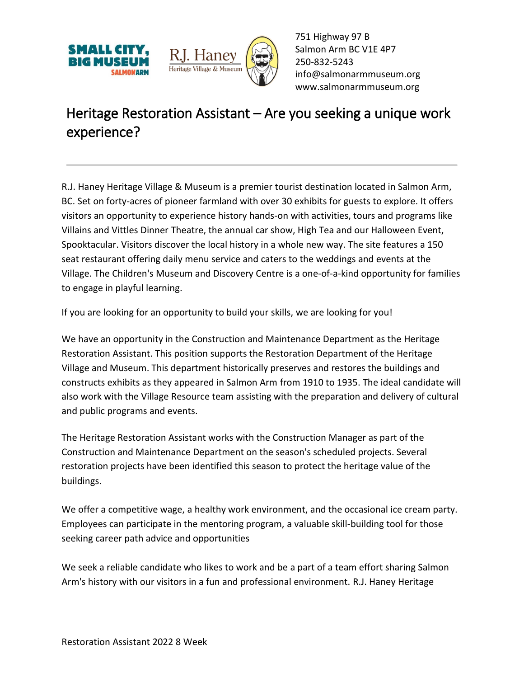



751 Highway 97 B Salmon Arm BC V1E 4P7 250-832-5243 [info@salmonarmmuseum.org](mailto:info@salmonarmmuseum.org) www.salmonarmmuseum.org

## Heritage Restoration Assistant – Are you seeking a unique work experience?

R.J. Haney Heritage Village & Museum is a premier tourist destination located in Salmon Arm, BC. Set on forty-acres of pioneer farmland with over 30 exhibits for guests to explore. It offers visitors an opportunity to experience history hands-on with activities, tours and programs like Villains and Vittles Dinner Theatre, the annual car show, High Tea and our Halloween Event, Spooktacular. Visitors discover the local history in a whole new way. The site features a 150 seat restaurant offering daily menu service and caters to the weddings and events at the Village. The Children's Museum and Discovery Centre is a one-of-a-kind opportunity for families to engage in playful learning.

If you are looking for an opportunity to build your skills, we are looking for you!

We have an opportunity in the Construction and Maintenance Department as the Heritage Restoration Assistant. This position supports the Restoration Department of the Heritage Village and Museum. This department historically preserves and restores the buildings and constructs exhibits as they appeared in Salmon Arm from 1910 to 1935. The ideal candidate will also work with the Village Resource team assisting with the preparation and delivery of cultural and public programs and events.

The Heritage Restoration Assistant works with the Construction Manager as part of the Construction and Maintenance Department on the season's scheduled projects. Several restoration projects have been identified this season to protect the heritage value of the buildings.

We offer a competitive wage, a healthy work environment, and the occasional ice cream party. Employees can participate in the mentoring program, a valuable skill-building tool for those seeking career path advice and opportunities

We seek a reliable candidate who likes to work and be a part of a team effort sharing Salmon Arm's history with our visitors in a fun and professional environment. R.J. Haney Heritage